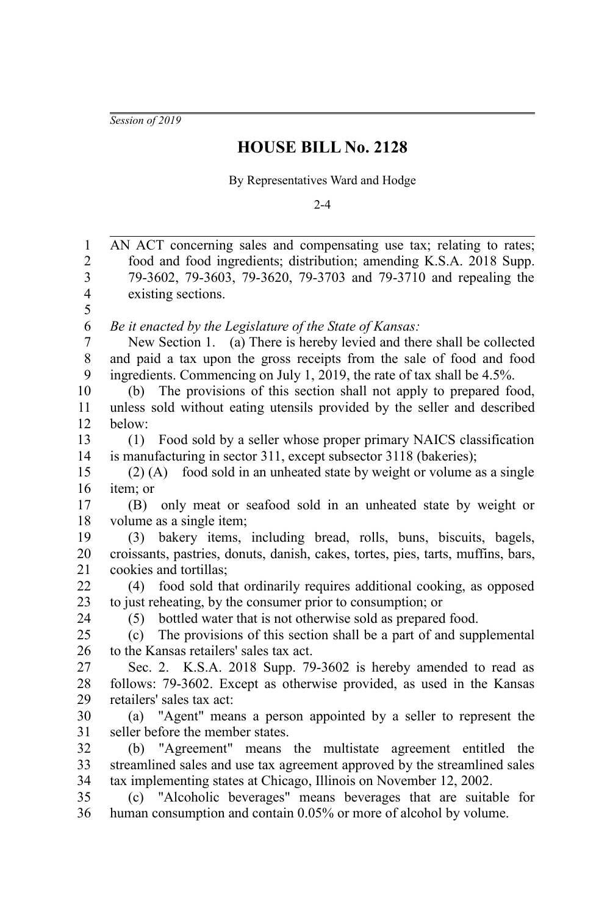*Session of 2019*

## **HOUSE BILL No. 2128**

By Representatives Ward and Hodge

 $2 - 4$ 

AN ACT concerning sales and compensating use tax; relating to rates; food and food ingredients; distribution; amending K.S.A. 2018 Supp. 79-3602, 79-3603, 79-3620, 79-3703 and 79-3710 and repealing the existing sections. *Be it enacted by the Legislature of the State of Kansas:* New Section 1. (a) There is hereby levied and there shall be collected and paid a tax upon the gross receipts from the sale of food and food ingredients. Commencing on July 1, 2019, the rate of tax shall be 4.5%. (b) The provisions of this section shall not apply to prepared food, unless sold without eating utensils provided by the seller and described below: (1) Food sold by a seller whose proper primary NAICS classification is manufacturing in sector 311, except subsector 3118 (bakeries); (2) (A) food sold in an unheated state by weight or volume as a single item; or (B) only meat or seafood sold in an unheated state by weight or volume as a single item; (3) bakery items, including bread, rolls, buns, biscuits, bagels, croissants, pastries, donuts, danish, cakes, tortes, pies, tarts, muffins, bars, cookies and tortillas; (4) food sold that ordinarily requires additional cooking, as opposed to just reheating, by the consumer prior to consumption; or (5) bottled water that is not otherwise sold as prepared food. (c) The provisions of this section shall be a part of and supplemental to the Kansas retailers' sales tax act. Sec. 2. K.S.A. 2018 Supp. 79-3602 is hereby amended to read as follows: 79-3602. Except as otherwise provided, as used in the Kansas retailers' sales tax act: (a) "Agent" means a person appointed by a seller to represent the seller before the member states. (b) "Agreement" means the multistate agreement entitled the streamlined sales and use tax agreement approved by the streamlined sales tax implementing states at Chicago, Illinois on November 12, 2002. (c) "Alcoholic beverages" means beverages that are suitable for human consumption and contain 0.05% or more of alcohol by volume. 1 2 3 4 5 6 7 8 9 10 11 12 13 14 15 16 17 18 19 20 21 22 23 24 25 26 27 28 29 30 31 32 33 34 35 36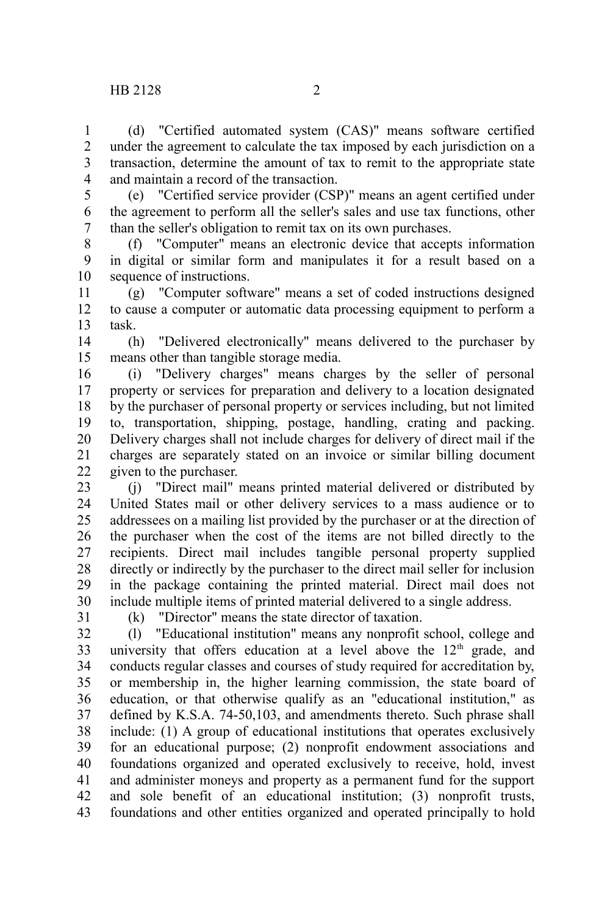(d) "Certified automated system (CAS)" means software certified under the agreement to calculate the tax imposed by each jurisdiction on a transaction, determine the amount of tax to remit to the appropriate state

and maintain a record of the transaction. 3 4

5

1 2

(e) "Certified service provider (CSP)" means an agent certified under the agreement to perform all the seller's sales and use tax functions, other than the seller's obligation to remit tax on its own purchases. 6 7

(f) "Computer" means an electronic device that accepts information in digital or similar form and manipulates it for a result based on a sequence of instructions. 8 9 10

(g) "Computer software" means a set of coded instructions designed to cause a computer or automatic data processing equipment to perform a task. 11 12 13

(h) "Delivered electronically" means delivered to the purchaser by means other than tangible storage media. 14 15

(i) "Delivery charges" means charges by the seller of personal property or services for preparation and delivery to a location designated by the purchaser of personal property or services including, but not limited to, transportation, shipping, postage, handling, crating and packing. Delivery charges shall not include charges for delivery of direct mail if the charges are separately stated on an invoice or similar billing document given to the purchaser. 16 17 18 19 20 21 22

(j) "Direct mail" means printed material delivered or distributed by United States mail or other delivery services to a mass audience or to addressees on a mailing list provided by the purchaser or at the direction of the purchaser when the cost of the items are not billed directly to the recipients. Direct mail includes tangible personal property supplied directly or indirectly by the purchaser to the direct mail seller for inclusion in the package containing the printed material. Direct mail does not include multiple items of printed material delivered to a single address. 23 24 25 26 27 28 29 30

31

(k) "Director" means the state director of taxation.

(l) "Educational institution" means any nonprofit school, college and university that offers education at a level above the  $12<sup>th</sup>$  grade, and conducts regular classes and courses of study required for accreditation by, or membership in, the higher learning commission, the state board of education, or that otherwise qualify as an "educational institution," as defined by K.S.A. 74-50,103, and amendments thereto. Such phrase shall include: (1) A group of educational institutions that operates exclusively for an educational purpose; (2) nonprofit endowment associations and foundations organized and operated exclusively to receive, hold, invest and administer moneys and property as a permanent fund for the support and sole benefit of an educational institution; (3) nonprofit trusts, foundations and other entities organized and operated principally to hold 32 33 34 35 36 37 38 39 40 41 42 43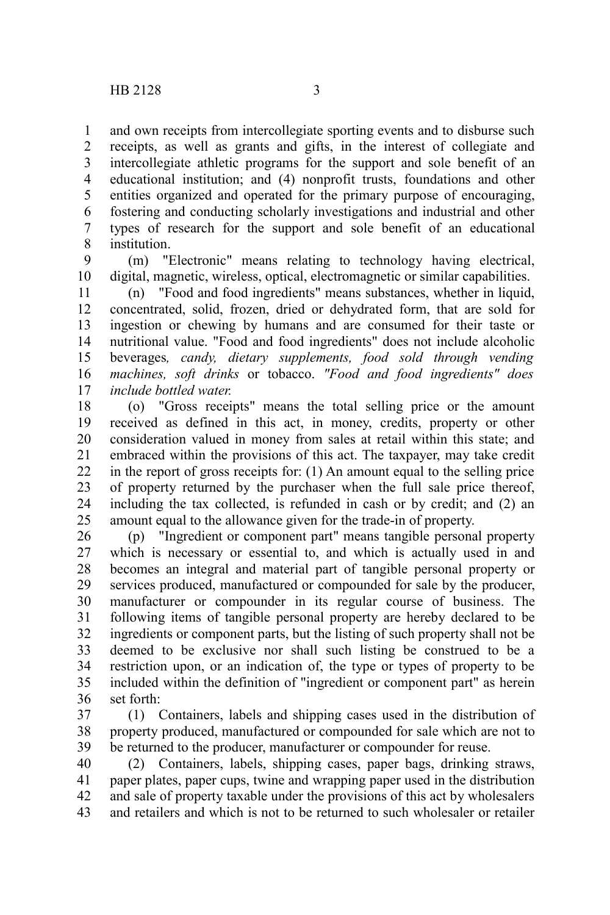and own receipts from intercollegiate sporting events and to disburse such receipts, as well as grants and gifts, in the interest of collegiate and intercollegiate athletic programs for the support and sole benefit of an educational institution; and (4) nonprofit trusts, foundations and other entities organized and operated for the primary purpose of encouraging, fostering and conducting scholarly investigations and industrial and other types of research for the support and sole benefit of an educational institution. 1 2 3 4 5 6 7 8

(m) "Electronic" means relating to technology having electrical, digital, magnetic, wireless, optical, electromagnetic or similar capabilities. 9 10

(n) "Food and food ingredients" means substances, whether in liquid, concentrated, solid, frozen, dried or dehydrated form, that are sold for ingestion or chewing by humans and are consumed for their taste or nutritional value. "Food and food ingredients" does not include alcoholic beverages*, candy, dietary supplements, food sold through vending machines, soft drinks* or tobacco. *"Food and food ingredients" does include bottled water.* 11 12 13 14 15 16 17

(o) "Gross receipts" means the total selling price or the amount received as defined in this act, in money, credits, property or other consideration valued in money from sales at retail within this state; and embraced within the provisions of this act. The taxpayer, may take credit in the report of gross receipts for: (1) An amount equal to the selling price of property returned by the purchaser when the full sale price thereof, including the tax collected, is refunded in cash or by credit; and (2) an amount equal to the allowance given for the trade-in of property. 18 19 20 21 22 23 24 25

(p) "Ingredient or component part" means tangible personal property which is necessary or essential to, and which is actually used in and becomes an integral and material part of tangible personal property or services produced, manufactured or compounded for sale by the producer, manufacturer or compounder in its regular course of business. The following items of tangible personal property are hereby declared to be ingredients or component parts, but the listing of such property shall not be deemed to be exclusive nor shall such listing be construed to be a restriction upon, or an indication of, the type or types of property to be included within the definition of "ingredient or component part" as herein set forth: 26 27 28 29 30 31 32 33 34 35 36

(1) Containers, labels and shipping cases used in the distribution of property produced, manufactured or compounded for sale which are not to be returned to the producer, manufacturer or compounder for reuse. 37 38 39

(2) Containers, labels, shipping cases, paper bags, drinking straws, paper plates, paper cups, twine and wrapping paper used in the distribution and sale of property taxable under the provisions of this act by wholesalers and retailers and which is not to be returned to such wholesaler or retailer 40 41 42 43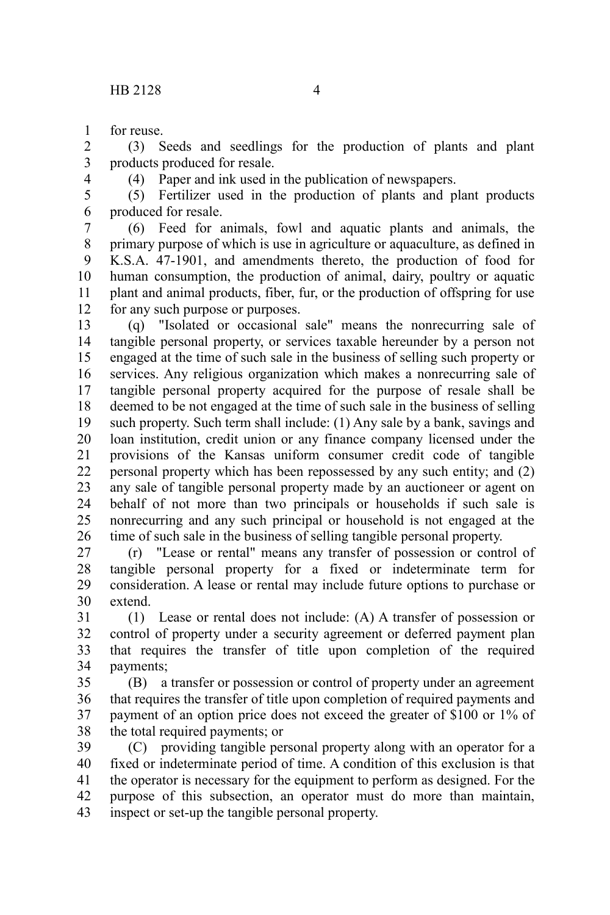for reuse. 1

(3) Seeds and seedlings for the production of plants and plant products produced for resale. 2 3

4

(4) Paper and ink used in the publication of newspapers.

(5) Fertilizer used in the production of plants and plant products produced for resale. 5 6

(6) Feed for animals, fowl and aquatic plants and animals, the primary purpose of which is use in agriculture or aquaculture, as defined in K.S.A. 47-1901, and amendments thereto, the production of food for human consumption, the production of animal, dairy, poultry or aquatic plant and animal products, fiber, fur, or the production of offspring for use for any such purpose or purposes. 7 8 9 10 11 12

(q) "Isolated or occasional sale" means the nonrecurring sale of tangible personal property, or services taxable hereunder by a person not engaged at the time of such sale in the business of selling such property or services. Any religious organization which makes a nonrecurring sale of tangible personal property acquired for the purpose of resale shall be deemed to be not engaged at the time of such sale in the business of selling such property. Such term shall include: (1) Any sale by a bank, savings and loan institution, credit union or any finance company licensed under the provisions of the Kansas uniform consumer credit code of tangible personal property which has been repossessed by any such entity; and (2) any sale of tangible personal property made by an auctioneer or agent on behalf of not more than two principals or households if such sale is nonrecurring and any such principal or household is not engaged at the time of such sale in the business of selling tangible personal property. 13 14 15 16 17 18 19 20 21 22 23 24 25 26

(r) "Lease or rental" means any transfer of possession or control of tangible personal property for a fixed or indeterminate term for consideration. A lease or rental may include future options to purchase or extend. 27 28 29 30

(1) Lease or rental does not include: (A) A transfer of possession or control of property under a security agreement or deferred payment plan that requires the transfer of title upon completion of the required payments; 31 32 33 34

(B) a transfer or possession or control of property under an agreement that requires the transfer of title upon completion of required payments and payment of an option price does not exceed the greater of \$100 or 1% of the total required payments; or 35 36 37 38

(C) providing tangible personal property along with an operator for a fixed or indeterminate period of time. A condition of this exclusion is that the operator is necessary for the equipment to perform as designed. For the purpose of this subsection, an operator must do more than maintain, inspect or set-up the tangible personal property. 39 40 41 42 43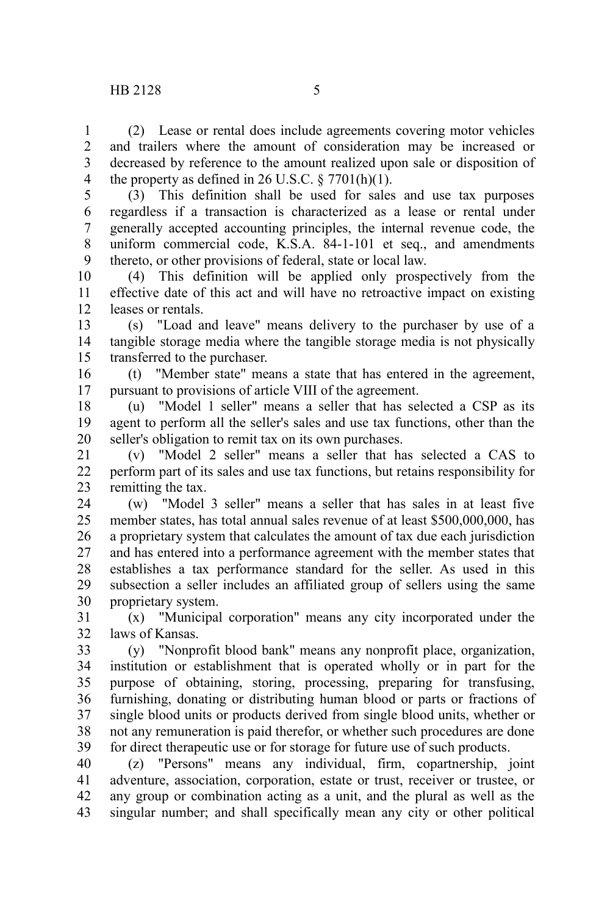(2) Lease or rental does include agreements covering motor vehicles and trailers where the amount of consideration may be increased or decreased by reference to the amount realized upon sale or disposition of the property as defined in 26 U.S.C.  $\S 7701(h)(1)$ . 1  $\mathcal{L}$ 3 4

(3) This definition shall be used for sales and use tax purposes regardless if a transaction is characterized as a lease or rental under generally accepted accounting principles, the internal revenue code, the uniform commercial code, K.S.A. 84-1-101 et seq., and amendments thereto, or other provisions of federal, state or local law. 5 6 7 8 9

(4) This definition will be applied only prospectively from the effective date of this act and will have no retroactive impact on existing leases or rentals. 10 11 12

(s) "Load and leave" means delivery to the purchaser by use of a tangible storage media where the tangible storage media is not physically transferred to the purchaser. 13 14 15

(t) "Member state" means a state that has entered in the agreement, pursuant to provisions of article VIII of the agreement. 16 17

(u) "Model 1 seller" means a seller that has selected a CSP as its agent to perform all the seller's sales and use tax functions, other than the seller's obligation to remit tax on its own purchases. 18 19 20

(v) "Model 2 seller" means a seller that has selected a CAS to perform part of its sales and use tax functions, but retains responsibility for remitting the tax. 21 22 23

(w) "Model 3 seller" means a seller that has sales in at least five member states, has total annual sales revenue of at least \$500,000,000, has a proprietary system that calculates the amount of tax due each jurisdiction and has entered into a performance agreement with the member states that establishes a tax performance standard for the seller. As used in this subsection a seller includes an affiliated group of sellers using the same proprietary system. 24 25 26 27 28 29 30

(x) "Municipal corporation" means any city incorporated under the laws of Kansas. 31 32

(y) "Nonprofit blood bank" means any nonprofit place, organization, institution or establishment that is operated wholly or in part for the purpose of obtaining, storing, processing, preparing for transfusing, furnishing, donating or distributing human blood or parts or fractions of single blood units or products derived from single blood units, whether or not any remuneration is paid therefor, or whether such procedures are done for direct therapeutic use or for storage for future use of such products. 33 34 35 36 37 38 39

(z) "Persons" means any individual, firm, copartnership, joint adventure, association, corporation, estate or trust, receiver or trustee, or any group or combination acting as a unit, and the plural as well as the singular number; and shall specifically mean any city or other political 40 41 42 43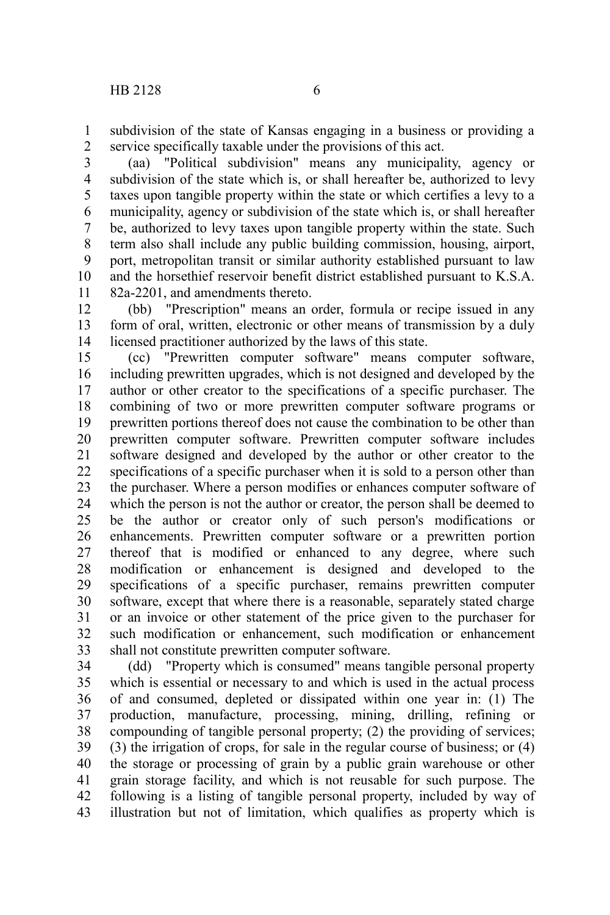subdivision of the state of Kansas engaging in a business or providing a service specifically taxable under the provisions of this act. 1 2

(aa) "Political subdivision" means any municipality, agency or subdivision of the state which is, or shall hereafter be, authorized to levy taxes upon tangible property within the state or which certifies a levy to a municipality, agency or subdivision of the state which is, or shall hereafter be, authorized to levy taxes upon tangible property within the state. Such term also shall include any public building commission, housing, airport, port, metropolitan transit or similar authority established pursuant to law and the horsethief reservoir benefit district established pursuant to K.S.A. 82a-2201, and amendments thereto. 3 4 5 6 7 8 9 10 11

(bb) "Prescription" means an order, formula or recipe issued in any form of oral, written, electronic or other means of transmission by a duly licensed practitioner authorized by the laws of this state. 12 13 14

(cc) "Prewritten computer software" means computer software, including prewritten upgrades, which is not designed and developed by the author or other creator to the specifications of a specific purchaser. The combining of two or more prewritten computer software programs or prewritten portions thereof does not cause the combination to be other than prewritten computer software. Prewritten computer software includes software designed and developed by the author or other creator to the specifications of a specific purchaser when it is sold to a person other than the purchaser. Where a person modifies or enhances computer software of which the person is not the author or creator, the person shall be deemed to be the author or creator only of such person's modifications or enhancements. Prewritten computer software or a prewritten portion thereof that is modified or enhanced to any degree, where such modification or enhancement is designed and developed to the specifications of a specific purchaser, remains prewritten computer software, except that where there is a reasonable, separately stated charge or an invoice or other statement of the price given to the purchaser for such modification or enhancement, such modification or enhancement shall not constitute prewritten computer software. 15 16 17 18 19 20 21 22 23 24 25 26 27 28 29 30 31 32 33

(dd) "Property which is consumed" means tangible personal property which is essential or necessary to and which is used in the actual process of and consumed, depleted or dissipated within one year in: (1) The production, manufacture, processing, mining, drilling, refining or compounding of tangible personal property; (2) the providing of services; (3) the irrigation of crops, for sale in the regular course of business; or (4) the storage or processing of grain by a public grain warehouse or other grain storage facility, and which is not reusable for such purpose. The following is a listing of tangible personal property, included by way of illustration but not of limitation, which qualifies as property which is 34 35 36 37 38 39 40 41 42 43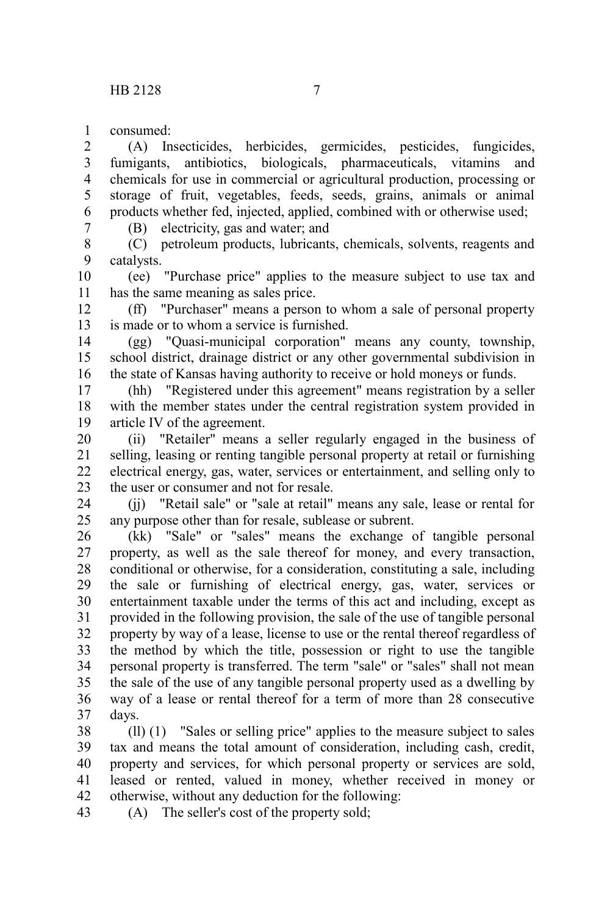consumed: 1

(A) Insecticides, herbicides, germicides, pesticides, fungicides, fumigants, antibiotics, biologicals, pharmaceuticals, vitamins and chemicals for use in commercial or agricultural production, processing or storage of fruit, vegetables, feeds, seeds, grains, animals or animal products whether fed, injected, applied, combined with or otherwise used; 2 3 4 5 6

7

(B) electricity, gas and water; and

(C) petroleum products, lubricants, chemicals, solvents, reagents and catalysts. 8 9

(ee) "Purchase price" applies to the measure subject to use tax and has the same meaning as sales price. 10 11

(ff) "Purchaser" means a person to whom a sale of personal property is made or to whom a service is furnished. 12 13

(gg) "Quasi-municipal corporation" means any county, township, school district, drainage district or any other governmental subdivision in the state of Kansas having authority to receive or hold moneys or funds. 14 15 16

(hh) "Registered under this agreement" means registration by a seller with the member states under the central registration system provided in article IV of the agreement. 17 18 19

(ii) "Retailer" means a seller regularly engaged in the business of selling, leasing or renting tangible personal property at retail or furnishing electrical energy, gas, water, services or entertainment, and selling only to the user or consumer and not for resale. 20 21 22 23

(jj) "Retail sale" or "sale at retail" means any sale, lease or rental for any purpose other than for resale, sublease or subrent. 24 25

(kk) "Sale" or "sales" means the exchange of tangible personal property, as well as the sale thereof for money, and every transaction, conditional or otherwise, for a consideration, constituting a sale, including the sale or furnishing of electrical energy, gas, water, services or entertainment taxable under the terms of this act and including, except as provided in the following provision, the sale of the use of tangible personal property by way of a lease, license to use or the rental thereof regardless of the method by which the title, possession or right to use the tangible personal property is transferred. The term "sale" or "sales" shall not mean the sale of the use of any tangible personal property used as a dwelling by way of a lease or rental thereof for a term of more than 28 consecutive days. 26 27 28 29 30 31 32 33 34 35 36 37

(ll) (1) "Sales or selling price" applies to the measure subject to sales tax and means the total amount of consideration, including cash, credit, property and services, for which personal property or services are sold, leased or rented, valued in money, whether received in money or otherwise, without any deduction for the following: 38 39 40 41 42

(A) The seller's cost of the property sold; 43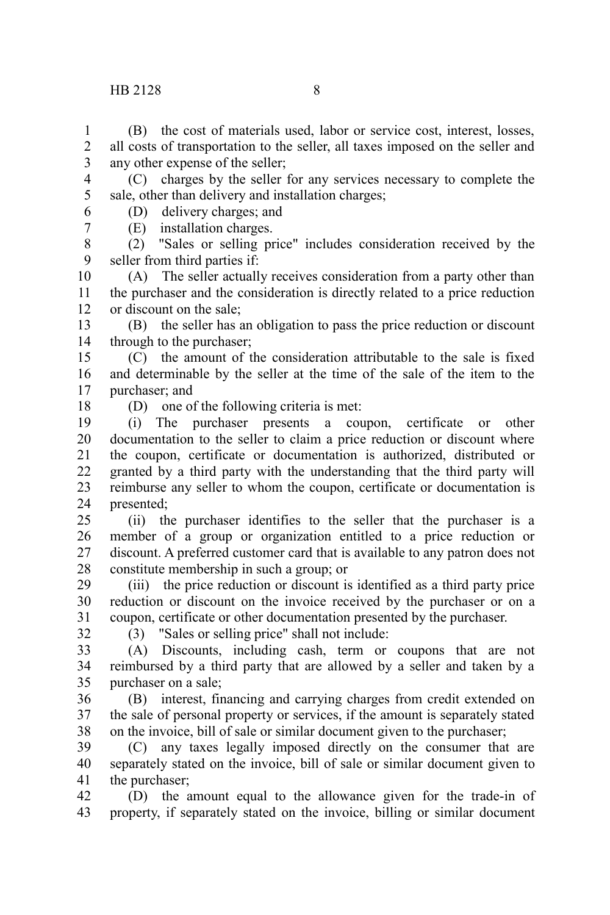## HB 2128 8

(B) the cost of materials used, labor or service cost, interest, losses, all costs of transportation to the seller, all taxes imposed on the seller and any other expense of the seller; 1 2 3

(C) charges by the seller for any services necessary to complete the sale, other than delivery and installation charges; (D) delivery charges; and 4 5

6 7

(E) installation charges.

(2) "Sales or selling price" includes consideration received by the seller from third parties if: 8 9

(A) The seller actually receives consideration from a party other than the purchaser and the consideration is directly related to a price reduction or discount on the sale; 10 11 12

(B) the seller has an obligation to pass the price reduction or discount through to the purchaser; 13 14

(C) the amount of the consideration attributable to the sale is fixed and determinable by the seller at the time of the sale of the item to the purchaser; and 15 16 17

18

(D) one of the following criteria is met:

(i) The purchaser presents a coupon, certificate or other documentation to the seller to claim a price reduction or discount where the coupon, certificate or documentation is authorized, distributed or granted by a third party with the understanding that the third party will reimburse any seller to whom the coupon, certificate or documentation is presented; 19 20 21 22 23 24

(ii) the purchaser identifies to the seller that the purchaser is a member of a group or organization entitled to a price reduction or discount. A preferred customer card that is available to any patron does not constitute membership in such a group; or 25 26 27 28

(iii) the price reduction or discount is identified as a third party price reduction or discount on the invoice received by the purchaser or on a coupon, certificate or other documentation presented by the purchaser. 29 30 31

32

(3) "Sales or selling price" shall not include:

(A) Discounts, including cash, term or coupons that are not reimbursed by a third party that are allowed by a seller and taken by a purchaser on a sale; 33 34 35

(B) interest, financing and carrying charges from credit extended on the sale of personal property or services, if the amount is separately stated on the invoice, bill of sale or similar document given to the purchaser; 36 37 38

(C) any taxes legally imposed directly on the consumer that are separately stated on the invoice, bill of sale or similar document given to the purchaser; 39 40 41

(D) the amount equal to the allowance given for the trade-in of property, if separately stated on the invoice, billing or similar document 42 43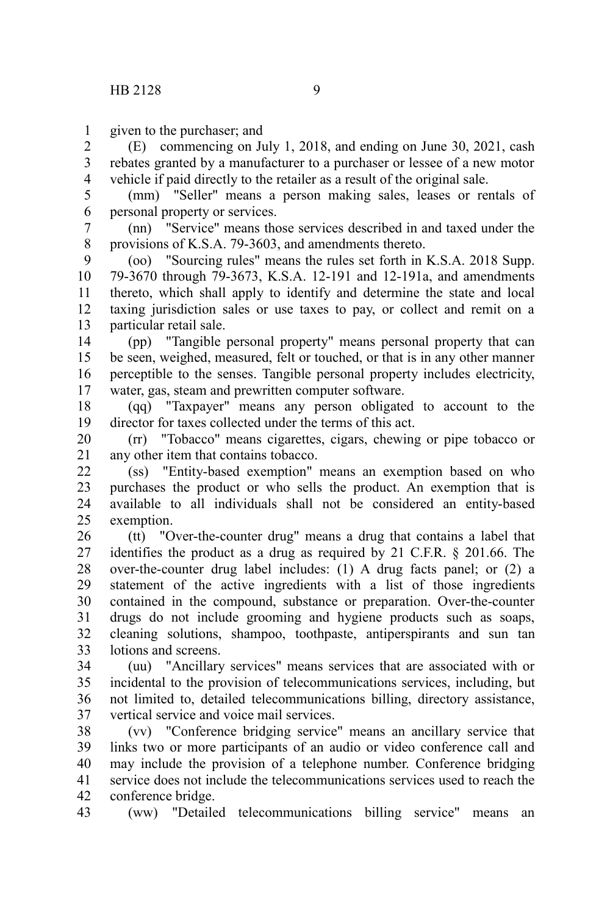given to the purchaser; and 1

(E) commencing on July 1, 2018, and ending on June 30, 2021, cash rebates granted by a manufacturer to a purchaser or lessee of a new motor vehicle if paid directly to the retailer as a result of the original sale. 2 3 4

(mm) "Seller" means a person making sales, leases or rentals of personal property or services. 5 6

(nn) "Service" means those services described in and taxed under the provisions of K.S.A. 79-3603, and amendments thereto. 7 8

(oo) "Sourcing rules" means the rules set forth in K.S.A. 2018 Supp. 79-3670 through 79-3673, K.S.A. 12-191 and 12-191a, and amendments thereto, which shall apply to identify and determine the state and local taxing jurisdiction sales or use taxes to pay, or collect and remit on a particular retail sale. 9 10 11 12 13

(pp) "Tangible personal property" means personal property that can be seen, weighed, measured, felt or touched, or that is in any other manner perceptible to the senses. Tangible personal property includes electricity, water, gas, steam and prewritten computer software. 14 15 16 17

(qq) "Taxpayer" means any person obligated to account to the director for taxes collected under the terms of this act. 18 19

(rr) "Tobacco" means cigarettes, cigars, chewing or pipe tobacco or any other item that contains tobacco. 20 21

(ss) "Entity-based exemption" means an exemption based on who purchases the product or who sells the product. An exemption that is available to all individuals shall not be considered an entity-based exemption. 22 23 24 25

(tt) "Over-the-counter drug" means a drug that contains a label that identifies the product as a drug as required by 21 C.F.R. § 201.66. The over-the-counter drug label includes: (1) A drug facts panel; or (2) a statement of the active ingredients with a list of those ingredients contained in the compound, substance or preparation. Over-the-counter drugs do not include grooming and hygiene products such as soaps, cleaning solutions, shampoo, toothpaste, antiperspirants and sun tan lotions and screens. 26 27 28 29 30 31 32 33

(uu) "Ancillary services" means services that are associated with or incidental to the provision of telecommunications services, including, but not limited to, detailed telecommunications billing, directory assistance, vertical service and voice mail services. 34 35 36 37

(vv) "Conference bridging service" means an ancillary service that links two or more participants of an audio or video conference call and may include the provision of a telephone number. Conference bridging service does not include the telecommunications services used to reach the conference bridge. 38 39 40 41 42

(ww) "Detailed telecommunications billing service" means an 43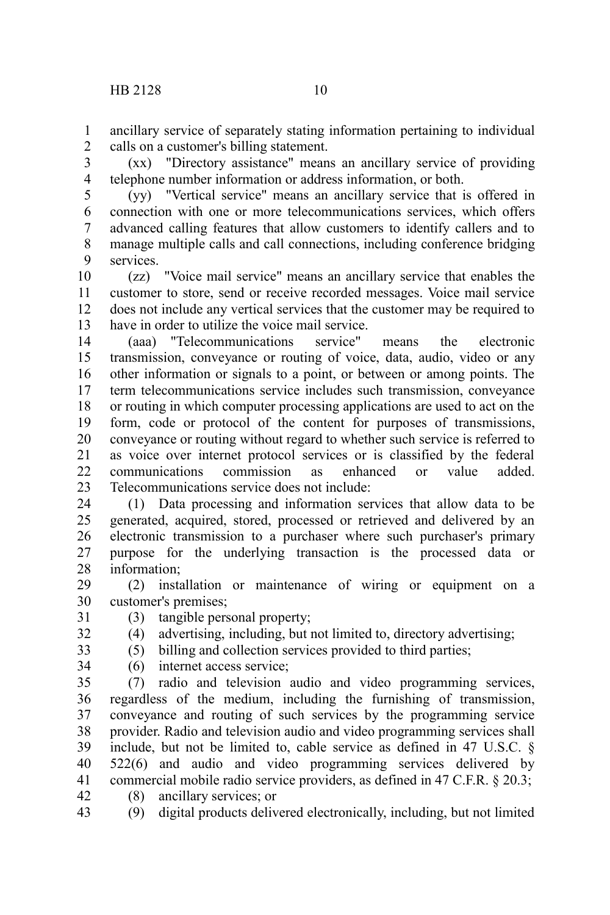ancillary service of separately stating information pertaining to individual calls on a customer's billing statement. 1 2

(xx) "Directory assistance" means an ancillary service of providing telephone number information or address information, or both. 3 4

(yy) "Vertical service" means an ancillary service that is offered in connection with one or more telecommunications services, which offers advanced calling features that allow customers to identify callers and to manage multiple calls and call connections, including conference bridging services. 5 6 7 8 9

(zz) "Voice mail service" means an ancillary service that enables the customer to store, send or receive recorded messages. Voice mail service does not include any vertical services that the customer may be required to have in order to utilize the voice mail service. 10 11 12 13

(aaa) "Telecommunications service" means the electronic transmission, conveyance or routing of voice, data, audio, video or any other information or signals to a point, or between or among points. The term telecommunications service includes such transmission, conveyance or routing in which computer processing applications are used to act on the form, code or protocol of the content for purposes of transmissions, conveyance or routing without regard to whether such service is referred to as voice over internet protocol services or is classified by the federal communications commission as enhanced or value added. Telecommunications service does not include: 14 15 16 17 18 19 20 21 22 23

(1) Data processing and information services that allow data to be generated, acquired, stored, processed or retrieved and delivered by an electronic transmission to a purchaser where such purchaser's primary purpose for the underlying transaction is the processed data or information; 24 25 26 27 28

(2) installation or maintenance of wiring or equipment on a customer's premises; 29 30

- (3) tangible personal property;
- (4) advertising, including, but not limited to, directory advertising;
- (5) billing and collection services provided to third parties;
- 33 34

31 32

(6) internet access service;

(7) radio and television audio and video programming services, regardless of the medium, including the furnishing of transmission, conveyance and routing of such services by the programming service provider. Radio and television audio and video programming services shall include, but not be limited to, cable service as defined in 47 U.S.C. § 522(6) and audio and video programming services delivered by commercial mobile radio service providers, as defined in 47 C.F.R. § 20.3; (8) ancillary services; or 35 36 37 38 39 40 41 42

(9) digital products delivered electronically, including, but not limited 43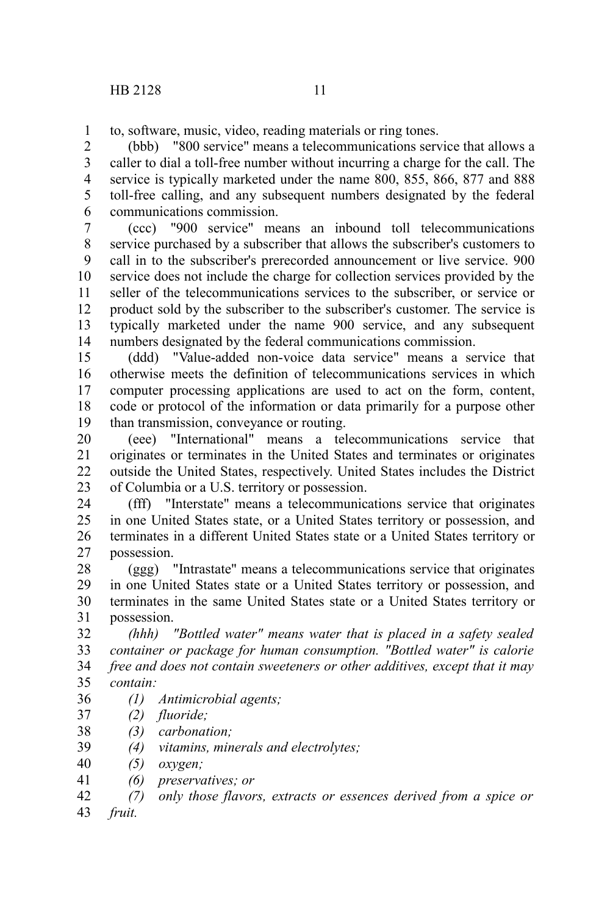1

to, software, music, video, reading materials or ring tones.

(bbb) "800 service" means a telecommunications service that allows a caller to dial a toll-free number without incurring a charge for the call. The service is typically marketed under the name 800, 855, 866, 877 and 888 toll-free calling, and any subsequent numbers designated by the federal communications commission. 2 3 4 5 6

(ccc) "900 service" means an inbound toll telecommunications service purchased by a subscriber that allows the subscriber's customers to call in to the subscriber's prerecorded announcement or live service. 900 service does not include the charge for collection services provided by the seller of the telecommunications services to the subscriber, or service or product sold by the subscriber to the subscriber's customer. The service is typically marketed under the name 900 service, and any subsequent numbers designated by the federal communications commission. 7 8 9 10 11 12 13 14

(ddd) "Value-added non-voice data service" means a service that otherwise meets the definition of telecommunications services in which computer processing applications are used to act on the form, content, code or protocol of the information or data primarily for a purpose other than transmission, conveyance or routing. 15 16 17 18 19

(eee) "International" means a telecommunications service that originates or terminates in the United States and terminates or originates outside the United States, respectively. United States includes the District of Columbia or a U.S. territory or possession. 20 21 22 23

(fff) "Interstate" means a telecommunications service that originates in one United States state, or a United States territory or possession, and terminates in a different United States state or a United States territory or possession. 24 25 26 27

(ggg) "Intrastate" means a telecommunications service that originates in one United States state or a United States territory or possession, and terminates in the same United States state or a United States territory or possession. 28 29 30 31

*(hhh) "Bottled water" means water that is placed in a safety sealed container or package for human consumption. "Bottled water" is calorie free and does not contain sweeteners or other additives, except that it may contain:* 32 33 34 35

- *(1) Antimicrobial agents;*
- *(2) fluoride;*  37
- *(3) carbonation;*  38
- *(4) vitamins, minerals and electrolytes;* 39
- *(5) oxygen;* 40
- *(6) preservatives; or* 41
- *(7) only those flavors, extracts or essences derived from a spice or* 42
- *fruit.* 43

36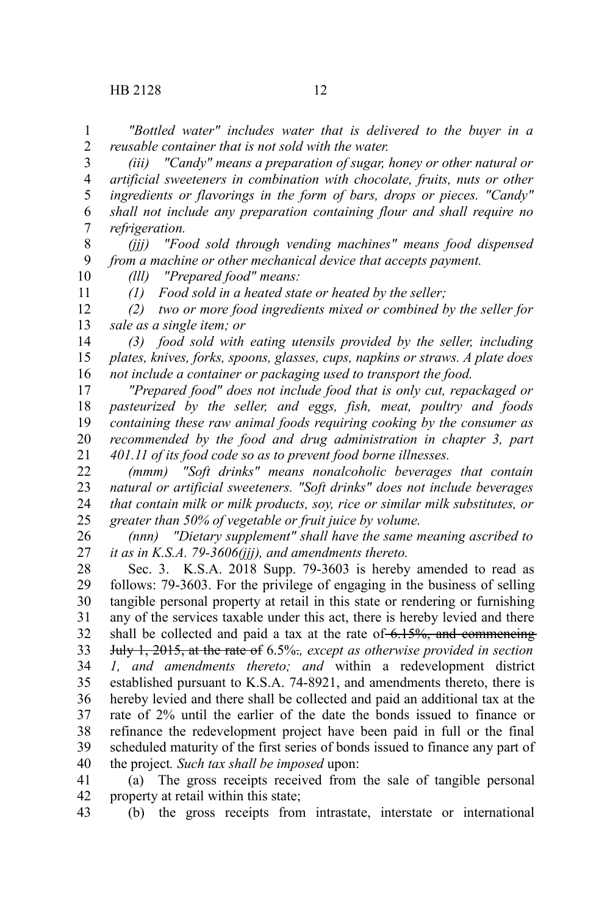11

*"Bottled water" includes water that is delivered to the buyer in a reusable container that is not sold with the water.* 1 2

*(iii) "Candy" means a preparation of sugar, honey or other natural or artificial sweeteners in combination with chocolate, fruits, nuts or other ingredients or flavorings in the form of bars, drops or pieces. "Candy" shall not include any preparation containing flour and shall require no refrigeration.* 3 4 5 6 7

*(jjj) "Food sold through vending machines" means food dispensed from a machine or other mechanical device that accepts payment.* 8 9 10

*(lll) "Prepared food" means:*

*(1) Food sold in a heated state or heated by the seller;*

*(2) two or more food ingredients mixed or combined by the seller for sale as a single item; or* 12 13

*(3) food sold with eating utensils provided by the seller, including plates, knives, forks, spoons, glasses, cups, napkins or straws. A plate does not include a container or packaging used to transport the food.* 14 15 16

*"Prepared food" does not include food that is only cut, repackaged or pasteurized by the seller, and eggs, fish, meat, poultry and foods containing these raw animal foods requiring cooking by the consumer as recommended by the food and drug administration in chapter 3, part 401.11 of its food code so as to prevent food borne illnesses.* 17 18 19 20 21

*(mmm) "Soft drinks" means nonalcoholic beverages that contain natural or artificial sweeteners. "Soft drinks" does not include beverages that contain milk or milk products, soy, rice or similar milk substitutes, or greater than 50% of vegetable or fruit juice by volume.* 22 23 24 25

*(nnn) "Dietary supplement" shall have the same meaning ascribed to it as in K.S.A. 79-3606(jjj), and amendments thereto.* 26 27

Sec. 3. K.S.A. 2018 Supp. 79-3603 is hereby amended to read as follows: 79-3603. For the privilege of engaging in the business of selling tangible personal property at retail in this state or rendering or furnishing any of the services taxable under this act, there is hereby levied and there shall be collected and paid a tax at the rate of  $6.15\%$ , and commencing July 1, 2015, at the rate of 6.5%.*, except as otherwise provided in section 1, and amendments thereto; and* within a redevelopment district established pursuant to K.S.A. 74-8921, and amendments thereto, there is hereby levied and there shall be collected and paid an additional tax at the rate of 2% until the earlier of the date the bonds issued to finance or refinance the redevelopment project have been paid in full or the final scheduled maturity of the first series of bonds issued to finance any part of the project*. Such tax shall be imposed* upon: 28 29 30 31 32 33 34 35 36 37 38 39 40

(a) The gross receipts received from the sale of tangible personal property at retail within this state; 41 42

(b) the gross receipts from intrastate, interstate or international 43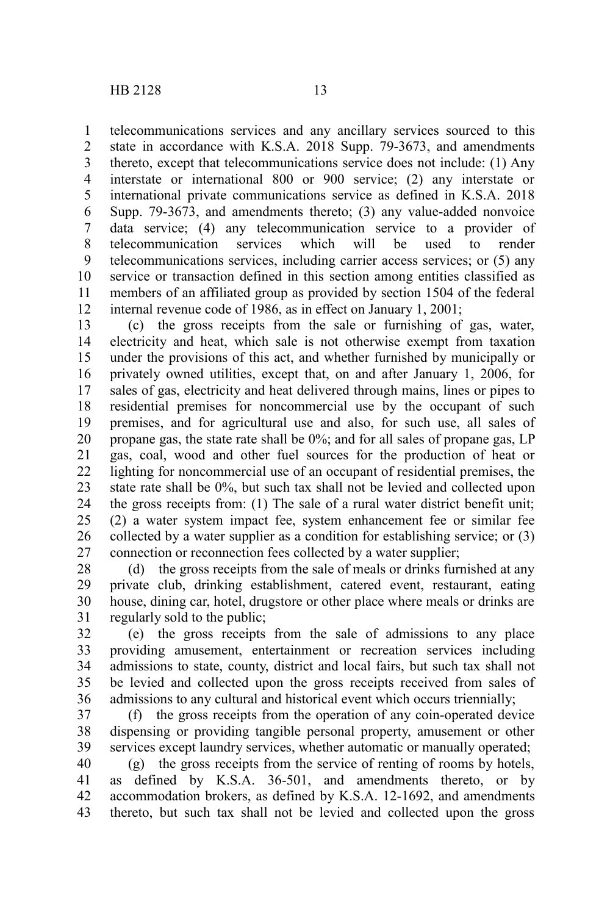telecommunications services and any ancillary services sourced to this state in accordance with K.S.A. 2018 Supp. 79-3673, and amendments thereto, except that telecommunications service does not include: (1) Any interstate or international 800 or 900 service; (2) any interstate or international private communications service as defined in K.S.A. 2018 Supp. 79-3673, and amendments thereto; (3) any value-added nonvoice data service; (4) any telecommunication service to a provider of telecommunication services which will be used to render telecommunications services, including carrier access services; or (5) any service or transaction defined in this section among entities classified as members of an affiliated group as provided by section 1504 of the federal internal revenue code of 1986, as in effect on January 1, 2001; 1 2 3 4 5 6 7 8 9 10 11 12

(c) the gross receipts from the sale or furnishing of gas, water, electricity and heat, which sale is not otherwise exempt from taxation under the provisions of this act, and whether furnished by municipally or privately owned utilities, except that, on and after January 1, 2006, for sales of gas, electricity and heat delivered through mains, lines or pipes to residential premises for noncommercial use by the occupant of such premises, and for agricultural use and also, for such use, all sales of propane gas, the state rate shall be 0%; and for all sales of propane gas, LP gas, coal, wood and other fuel sources for the production of heat or lighting for noncommercial use of an occupant of residential premises, the state rate shall be 0%, but such tax shall not be levied and collected upon the gross receipts from: (1) The sale of a rural water district benefit unit; (2) a water system impact fee, system enhancement fee or similar fee collected by a water supplier as a condition for establishing service; or (3) connection or reconnection fees collected by a water supplier; 13 14 15 16 17 18 19 20 21 22 23 24 25 26 27

(d) the gross receipts from the sale of meals or drinks furnished at any private club, drinking establishment, catered event, restaurant, eating house, dining car, hotel, drugstore or other place where meals or drinks are regularly sold to the public; 28 29 30 31

(e) the gross receipts from the sale of admissions to any place providing amusement, entertainment or recreation services including admissions to state, county, district and local fairs, but such tax shall not be levied and collected upon the gross receipts received from sales of admissions to any cultural and historical event which occurs triennially; 32 33 34 35 36

(f) the gross receipts from the operation of any coin-operated device dispensing or providing tangible personal property, amusement or other services except laundry services, whether automatic or manually operated; 37 38 39

(g) the gross receipts from the service of renting of rooms by hotels, as defined by K.S.A. 36-501, and amendments thereto, or by accommodation brokers, as defined by K.S.A. 12-1692, and amendments thereto, but such tax shall not be levied and collected upon the gross 40 41 42 43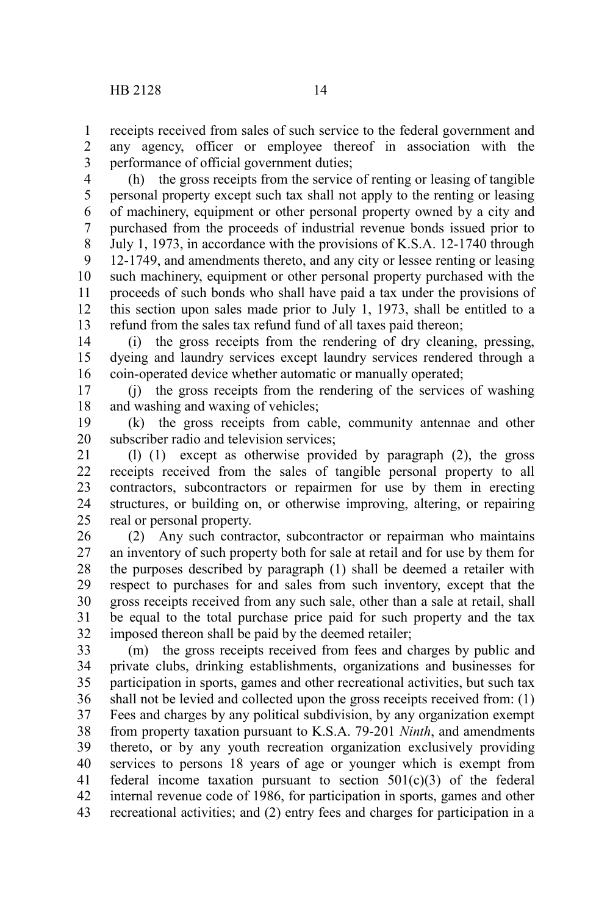receipts received from sales of such service to the federal government and any agency, officer or employee thereof in association with the performance of official government duties; 1 2 3

(h) the gross receipts from the service of renting or leasing of tangible personal property except such tax shall not apply to the renting or leasing of machinery, equipment or other personal property owned by a city and purchased from the proceeds of industrial revenue bonds issued prior to July 1, 1973, in accordance with the provisions of K.S.A. 12-1740 through 12-1749, and amendments thereto, and any city or lessee renting or leasing such machinery, equipment or other personal property purchased with the proceeds of such bonds who shall have paid a tax under the provisions of this section upon sales made prior to July 1, 1973, shall be entitled to a refund from the sales tax refund fund of all taxes paid thereon; 4 5 6 7 8 9 10 11 12 13

(i) the gross receipts from the rendering of dry cleaning, pressing, dyeing and laundry services except laundry services rendered through a coin-operated device whether automatic or manually operated; 14 15 16

(j) the gross receipts from the rendering of the services of washing and washing and waxing of vehicles; 17 18

(k) the gross receipts from cable, community antennae and other subscriber radio and television services; 19 20

(l) (1) except as otherwise provided by paragraph (2), the gross receipts received from the sales of tangible personal property to all contractors, subcontractors or repairmen for use by them in erecting structures, or building on, or otherwise improving, altering, or repairing real or personal property. 21 22 23 24 25

(2) Any such contractor, subcontractor or repairman who maintains an inventory of such property both for sale at retail and for use by them for the purposes described by paragraph (1) shall be deemed a retailer with respect to purchases for and sales from such inventory, except that the gross receipts received from any such sale, other than a sale at retail, shall be equal to the total purchase price paid for such property and the tax imposed thereon shall be paid by the deemed retailer; 26 27 28 29 30 31 32

(m) the gross receipts received from fees and charges by public and private clubs, drinking establishments, organizations and businesses for participation in sports, games and other recreational activities, but such tax shall not be levied and collected upon the gross receipts received from: (1) Fees and charges by any political subdivision, by any organization exempt from property taxation pursuant to K.S.A. 79-201 *Ninth*, and amendments thereto, or by any youth recreation organization exclusively providing services to persons 18 years of age or younger which is exempt from federal income taxation pursuant to section  $501(c)(3)$  of the federal internal revenue code of 1986, for participation in sports, games and other recreational activities; and (2) entry fees and charges for participation in a 33 34 35 36 37 38 39 40 41 42 43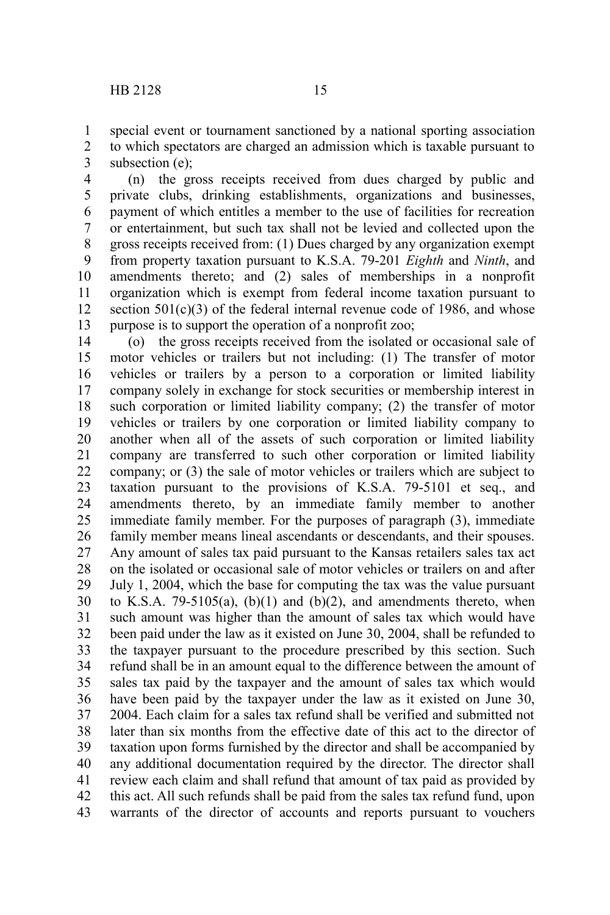special event or tournament sanctioned by a national sporting association to which spectators are charged an admission which is taxable pursuant to subsection (e); 1 2 3

(n) the gross receipts received from dues charged by public and private clubs, drinking establishments, organizations and businesses, payment of which entitles a member to the use of facilities for recreation or entertainment, but such tax shall not be levied and collected upon the gross receipts received from: (1) Dues charged by any organization exempt from property taxation pursuant to K.S.A. 79-201 *Eighth* and *Ninth*, and amendments thereto; and (2) sales of memberships in a nonprofit organization which is exempt from federal income taxation pursuant to section  $501(c)(3)$  of the federal internal revenue code of 1986, and whose purpose is to support the operation of a nonprofit zoo; 4 5 6 7 8 9 10 11 12 13

(o) the gross receipts received from the isolated or occasional sale of motor vehicles or trailers but not including: (1) The transfer of motor vehicles or trailers by a person to a corporation or limited liability company solely in exchange for stock securities or membership interest in such corporation or limited liability company; (2) the transfer of motor vehicles or trailers by one corporation or limited liability company to another when all of the assets of such corporation or limited liability company are transferred to such other corporation or limited liability company; or (3) the sale of motor vehicles or trailers which are subject to taxation pursuant to the provisions of K.S.A. 79-5101 et seq., and amendments thereto, by an immediate family member to another immediate family member. For the purposes of paragraph (3), immediate family member means lineal ascendants or descendants, and their spouses. Any amount of sales tax paid pursuant to the Kansas retailers sales tax act on the isolated or occasional sale of motor vehicles or trailers on and after July 1, 2004, which the base for computing the tax was the value pursuant to K.S.A. 79-5105(a),  $(b)(1)$  and  $(b)(2)$ , and amendments thereto, when such amount was higher than the amount of sales tax which would have been paid under the law as it existed on June 30, 2004, shall be refunded to the taxpayer pursuant to the procedure prescribed by this section. Such refund shall be in an amount equal to the difference between the amount of sales tax paid by the taxpayer and the amount of sales tax which would have been paid by the taxpayer under the law as it existed on June 30, 2004. Each claim for a sales tax refund shall be verified and submitted not later than six months from the effective date of this act to the director of taxation upon forms furnished by the director and shall be accompanied by any additional documentation required by the director. The director shall review each claim and shall refund that amount of tax paid as provided by this act. All such refunds shall be paid from the sales tax refund fund, upon warrants of the director of accounts and reports pursuant to vouchers 14 15 16 17 18 19 20 21 22 23 24 25 26 27 28 29 30 31 32 33 34 35 36 37 38 39 40 41 42 43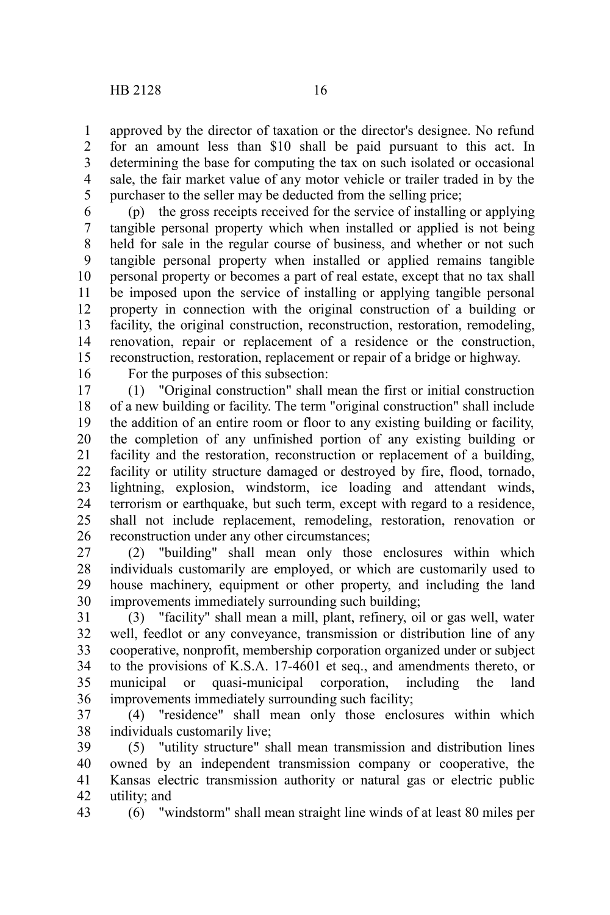approved by the director of taxation or the director's designee. No refund for an amount less than \$10 shall be paid pursuant to this act. In determining the base for computing the tax on such isolated or occasional sale, the fair market value of any motor vehicle or trailer traded in by the purchaser to the seller may be deducted from the selling price; 1 2 3 4 5

(p) the gross receipts received for the service of installing or applying tangible personal property which when installed or applied is not being held for sale in the regular course of business, and whether or not such tangible personal property when installed or applied remains tangible personal property or becomes a part of real estate, except that no tax shall be imposed upon the service of installing or applying tangible personal property in connection with the original construction of a building or facility, the original construction, reconstruction, restoration, remodeling, renovation, repair or replacement of a residence or the construction, reconstruction, restoration, replacement or repair of a bridge or highway. 6 7 8 9 10 11 12 13 14 15

16

For the purposes of this subsection:

(1) "Original construction" shall mean the first or initial construction of a new building or facility. The term "original construction" shall include the addition of an entire room or floor to any existing building or facility, the completion of any unfinished portion of any existing building or facility and the restoration, reconstruction or replacement of a building, facility or utility structure damaged or destroyed by fire, flood, tornado, lightning, explosion, windstorm, ice loading and attendant winds, terrorism or earthquake, but such term, except with regard to a residence, shall not include replacement, remodeling, restoration, renovation or reconstruction under any other circumstances; 17 18 19 20 21 22 23 24 25 26

(2) "building" shall mean only those enclosures within which individuals customarily are employed, or which are customarily used to house machinery, equipment or other property, and including the land improvements immediately surrounding such building; 27 28 29 30

(3) "facility" shall mean a mill, plant, refinery, oil or gas well, water well, feedlot or any conveyance, transmission or distribution line of any cooperative, nonprofit, membership corporation organized under or subject to the provisions of K.S.A. 17-4601 et seq., and amendments thereto, or municipal or quasi-municipal corporation, including the land improvements immediately surrounding such facility; 31 32 33 34 35 36

(4) "residence" shall mean only those enclosures within which individuals customarily live; 37 38

(5) "utility structure" shall mean transmission and distribution lines owned by an independent transmission company or cooperative, the Kansas electric transmission authority or natural gas or electric public utility; and 39 40 41 42

43

(6) "windstorm" shall mean straight line winds of at least 80 miles per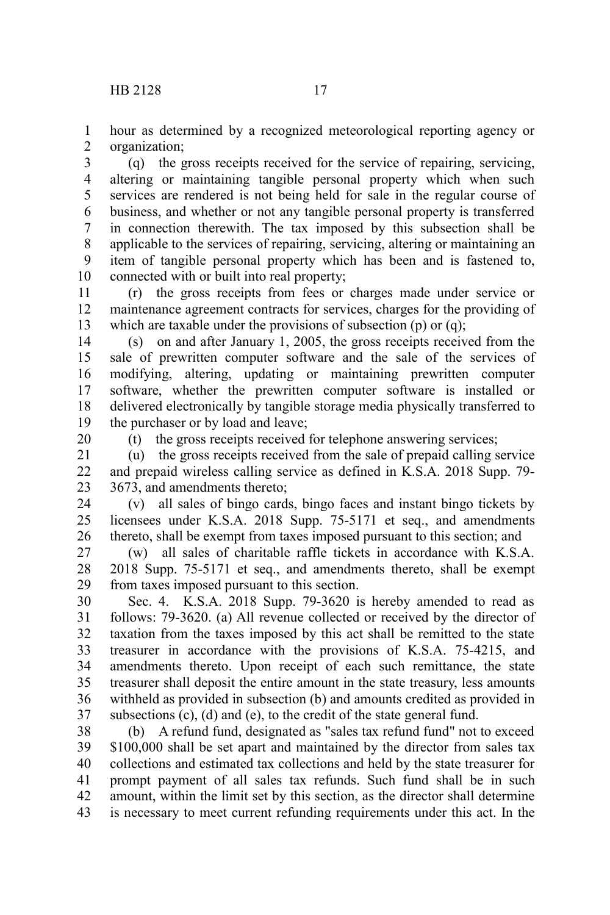hour as determined by a recognized meteorological reporting agency or organization; 1 2

(q) the gross receipts received for the service of repairing, servicing, altering or maintaining tangible personal property which when such services are rendered is not being held for sale in the regular course of business, and whether or not any tangible personal property is transferred in connection therewith. The tax imposed by this subsection shall be applicable to the services of repairing, servicing, altering or maintaining an item of tangible personal property which has been and is fastened to, connected with or built into real property; 3 4 5 6 7 8 9 10

(r) the gross receipts from fees or charges made under service or maintenance agreement contracts for services, charges for the providing of which are taxable under the provisions of subsection (p) or (q); 11 12 13

(s) on and after January 1, 2005, the gross receipts received from the sale of prewritten computer software and the sale of the services of modifying, altering, updating or maintaining prewritten computer software, whether the prewritten computer software is installed or delivered electronically by tangible storage media physically transferred to the purchaser or by load and leave; 14 15 16 17 18 19

20

(t) the gross receipts received for telephone answering services;

(u) the gross receipts received from the sale of prepaid calling service and prepaid wireless calling service as defined in K.S.A. 2018 Supp. 79- 3673, and amendments thereto; 21 22 23

(v) all sales of bingo cards, bingo faces and instant bingo tickets by licensees under K.S.A. 2018 Supp. 75-5171 et seq., and amendments thereto, shall be exempt from taxes imposed pursuant to this section; and 24 25 26

(w) all sales of charitable raffle tickets in accordance with K.S.A. 2018 Supp. 75-5171 et seq., and amendments thereto, shall be exempt from taxes imposed pursuant to this section. 27 28 29

Sec. 4. K.S.A. 2018 Supp. 79-3620 is hereby amended to read as follows: 79-3620. (a) All revenue collected or received by the director of taxation from the taxes imposed by this act shall be remitted to the state treasurer in accordance with the provisions of K.S.A. 75-4215, and amendments thereto. Upon receipt of each such remittance, the state treasurer shall deposit the entire amount in the state treasury, less amounts withheld as provided in subsection (b) and amounts credited as provided in subsections (c), (d) and (e), to the credit of the state general fund. 30 31 32 33 34 35 36 37

(b) A refund fund, designated as "sales tax refund fund" not to exceed \$100,000 shall be set apart and maintained by the director from sales tax collections and estimated tax collections and held by the state treasurer for prompt payment of all sales tax refunds. Such fund shall be in such amount, within the limit set by this section, as the director shall determine is necessary to meet current refunding requirements under this act. In the 38 39 40 41 42 43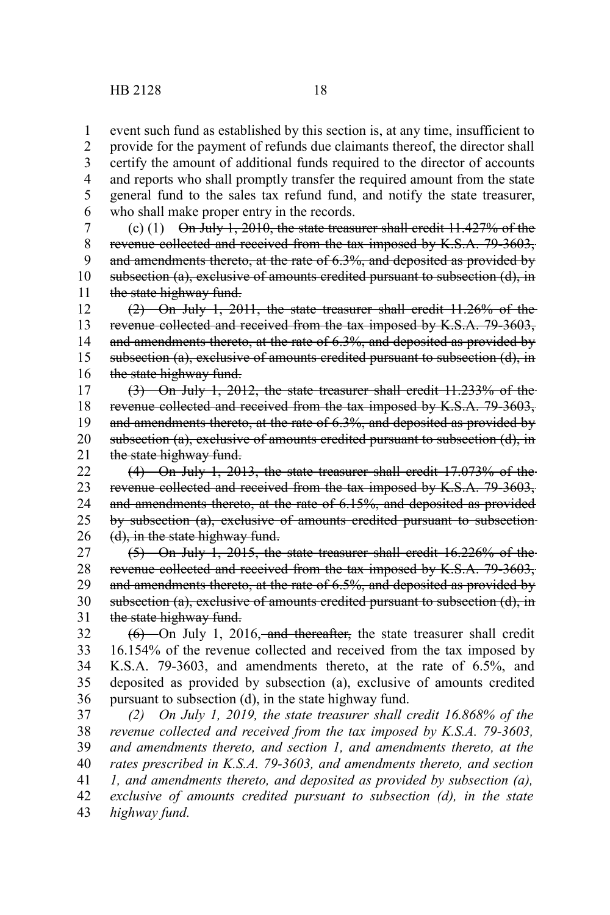event such fund as established by this section is, at any time, insufficient to 1

provide for the payment of refunds due claimants thereof, the director shall certify the amount of additional funds required to the director of accounts and reports who shall promptly transfer the required amount from the state general fund to the sales tax refund fund, and notify the state treasurer, who shall make proper entry in the records. 2 3 4 5 6

(c)  $(1)$  On July 1, 2010, the state treasurer shall credit 11.427% of the revenue collected and received from the tax imposed by K.S.A. 79-3603, and amendments thereto, at the rate of 6.3%, and deposited as provided by subsection (a), exclusive of amounts credited pursuant to subsection (d), in the state highway fund. 7 8 9 10 11

(2) On July 1, 2011, the state treasurer shall credit 11.26% of the revenue collected and received from the tax imposed by K.S.A. 79-3603, and amendments thereto, at the rate of 6.3%, and deposited as provided by subsection (a), exclusive of amounts credited pursuant to subsection (d), in the state highway fund. 12 13 14 15 16

(3) On July 1, 2012, the state treasurer shall credit 11.233% of the revenue collected and received from the tax imposed by K.S.A. 79-3603, and amendments thereto, at the rate of 6.3%, and deposited as provided by subsection (a), exclusive of amounts credited pursuant to subsection (d), in the state highway fund. 17 18 19 20 21

(4) On July 1, 2013, the state treasurer shall credit 17.073% of the revenue collected and received from the tax imposed by K.S.A. 79-3603, and amendments thereto, at the rate of 6.15%, and deposited as provided by subsection (a), exclusive of amounts credited pursuant to subsection (d), in the state highway fund. 22 23 24 25 26

(5) On July 1, 2015, the state treasurer shall credit 16.226% of the revenue collected and received from the tax imposed by K.S.A. 79-3603, and amendments thereto, at the rate of 6.5%, and deposited as provided by subsection (a), exclusive of amounts credited pursuant to subsection (d), in the state highway fund. 27 28 29 30 31

 $(6)$  On July 1, 2016, and thereafter, the state treasurer shall credit 16.154% of the revenue collected and received from the tax imposed by K.S.A. 79-3603, and amendments thereto, at the rate of 6.5%, and deposited as provided by subsection (a), exclusive of amounts credited pursuant to subsection (d), in the state highway fund. 32 33 34 35 36

*(2) On July 1, 2019, the state treasurer shall credit 16.868% of the revenue collected and received from the tax imposed by K.S.A. 79-3603, and amendments thereto, and section 1, and amendments thereto, at the rates prescribed in K.S.A. 79-3603, and amendments thereto, and section 1, and amendments thereto, and deposited as provided by subsection (a), exclusive of amounts credited pursuant to subsection (d), in the state highway fund.* 37 38 39 40 41 42 43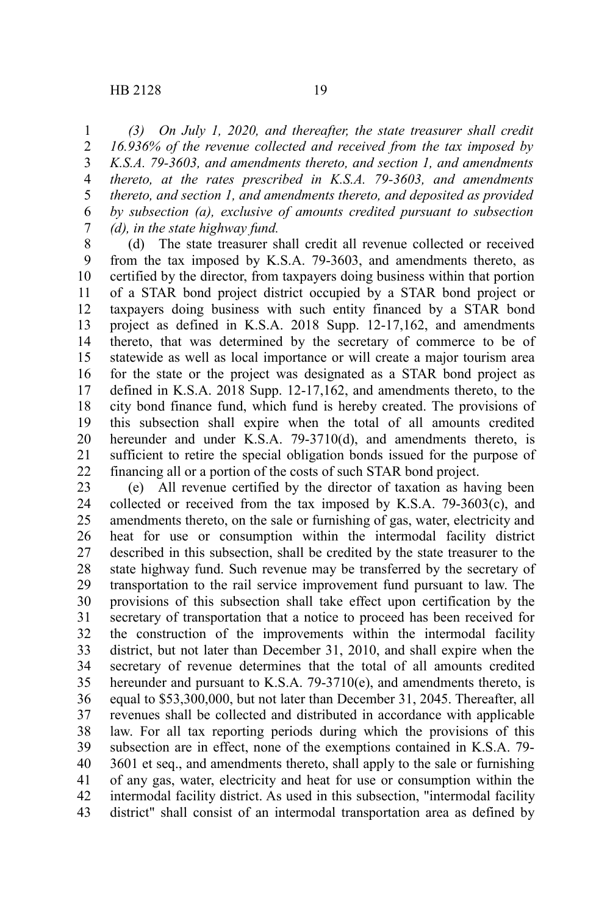*(3) On July 1, 2020, and thereafter, the state treasurer shall credit 16.936% of the revenue collected and received from the tax imposed by K.S.A. 79-3603, and amendments thereto, and section 1, and amendments thereto, at the rates prescribed in K.S.A. 79-3603, and amendments thereto, and section 1, and amendments thereto, and deposited as provided by subsection (a), exclusive of amounts credited pursuant to subsection (d), in the state highway fund.* 1 2 3 4 5 6 7

(d) The state treasurer shall credit all revenue collected or received from the tax imposed by K.S.A. 79-3603, and amendments thereto, as certified by the director, from taxpayers doing business within that portion of a STAR bond project district occupied by a STAR bond project or taxpayers doing business with such entity financed by a STAR bond project as defined in K.S.A. 2018 Supp. 12-17,162, and amendments thereto, that was determined by the secretary of commerce to be of statewide as well as local importance or will create a major tourism area for the state or the project was designated as a STAR bond project as defined in K.S.A. 2018 Supp. 12-17,162, and amendments thereto, to the city bond finance fund, which fund is hereby created. The provisions of this subsection shall expire when the total of all amounts credited hereunder and under K.S.A. 79-3710(d), and amendments thereto, is sufficient to retire the special obligation bonds issued for the purpose of financing all or a portion of the costs of such STAR bond project. 8 9 10 11 12 13 14 15 16 17 18 19 20 21 22

(e) All revenue certified by the director of taxation as having been collected or received from the tax imposed by K.S.A. 79-3603(c), and amendments thereto, on the sale or furnishing of gas, water, electricity and heat for use or consumption within the intermodal facility district described in this subsection, shall be credited by the state treasurer to the state highway fund. Such revenue may be transferred by the secretary of transportation to the rail service improvement fund pursuant to law. The provisions of this subsection shall take effect upon certification by the secretary of transportation that a notice to proceed has been received for the construction of the improvements within the intermodal facility district, but not later than December 31, 2010, and shall expire when the secretary of revenue determines that the total of all amounts credited hereunder and pursuant to K.S.A. 79-3710(e), and amendments thereto, is equal to \$53,300,000, but not later than December 31, 2045. Thereafter, all revenues shall be collected and distributed in accordance with applicable law. For all tax reporting periods during which the provisions of this subsection are in effect, none of the exemptions contained in K.S.A. 79- 3601 et seq., and amendments thereto, shall apply to the sale or furnishing of any gas, water, electricity and heat for use or consumption within the intermodal facility district. As used in this subsection, "intermodal facility district" shall consist of an intermodal transportation area as defined by 23 24 25 26 27 28 29 30 31 32 33 34 35 36 37 38 39 40 41 42 43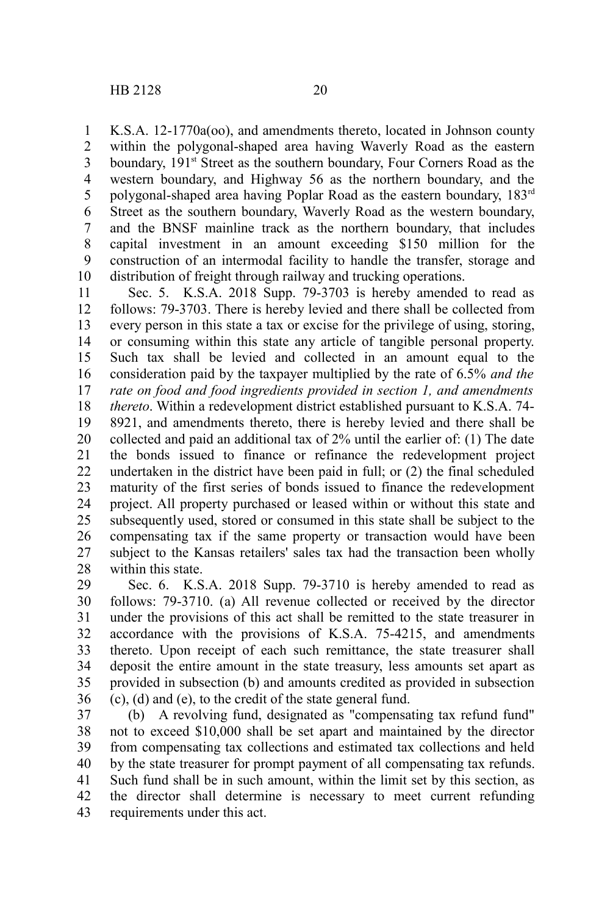K.S.A. 12-1770a(oo), and amendments thereto, located in Johnson county within the polygonal-shaped area having Waverly Road as the eastern boundary, 191<sup>st</sup> Street as the southern boundary, Four Corners Road as the western boundary, and Highway 56 as the northern boundary, and the polygonal-shaped area having Poplar Road as the eastern boundary, 183rd Street as the southern boundary, Waverly Road as the western boundary, and the BNSF mainline track as the northern boundary, that includes capital investment in an amount exceeding \$150 million for the construction of an intermodal facility to handle the transfer, storage and distribution of freight through railway and trucking operations. 1 2 3 4 5 6 7 8 9 10

Sec. 5. K.S.A. 2018 Supp. 79-3703 is hereby amended to read as follows: 79-3703. There is hereby levied and there shall be collected from every person in this state a tax or excise for the privilege of using, storing, or consuming within this state any article of tangible personal property. Such tax shall be levied and collected in an amount equal to the consideration paid by the taxpayer multiplied by the rate of 6.5% *and the rate on food and food ingredients provided in section 1, and amendments thereto*. Within a redevelopment district established pursuant to K.S.A. 74- 8921, and amendments thereto, there is hereby levied and there shall be collected and paid an additional tax of 2% until the earlier of: (1) The date the bonds issued to finance or refinance the redevelopment project undertaken in the district have been paid in full; or (2) the final scheduled maturity of the first series of bonds issued to finance the redevelopment project. All property purchased or leased within or without this state and subsequently used, stored or consumed in this state shall be subject to the compensating tax if the same property or transaction would have been subject to the Kansas retailers' sales tax had the transaction been wholly within this state. 11 12 13 14 15 16 17 18 19 20 21 22 23 24 25 26 27 28

Sec. 6. K.S.A. 2018 Supp. 79-3710 is hereby amended to read as follows: 79-3710. (a) All revenue collected or received by the director under the provisions of this act shall be remitted to the state treasurer in accordance with the provisions of K.S.A. 75-4215, and amendments thereto. Upon receipt of each such remittance, the state treasurer shall deposit the entire amount in the state treasury, less amounts set apart as provided in subsection (b) and amounts credited as provided in subsection (c), (d) and (e), to the credit of the state general fund. 29 30 31 32 33 34 35 36

(b) A revolving fund, designated as "compensating tax refund fund" not to exceed \$10,000 shall be set apart and maintained by the director from compensating tax collections and estimated tax collections and held by the state treasurer for prompt payment of all compensating tax refunds. Such fund shall be in such amount, within the limit set by this section, as the director shall determine is necessary to meet current refunding requirements under this act. 37 38 39 40 41 42 43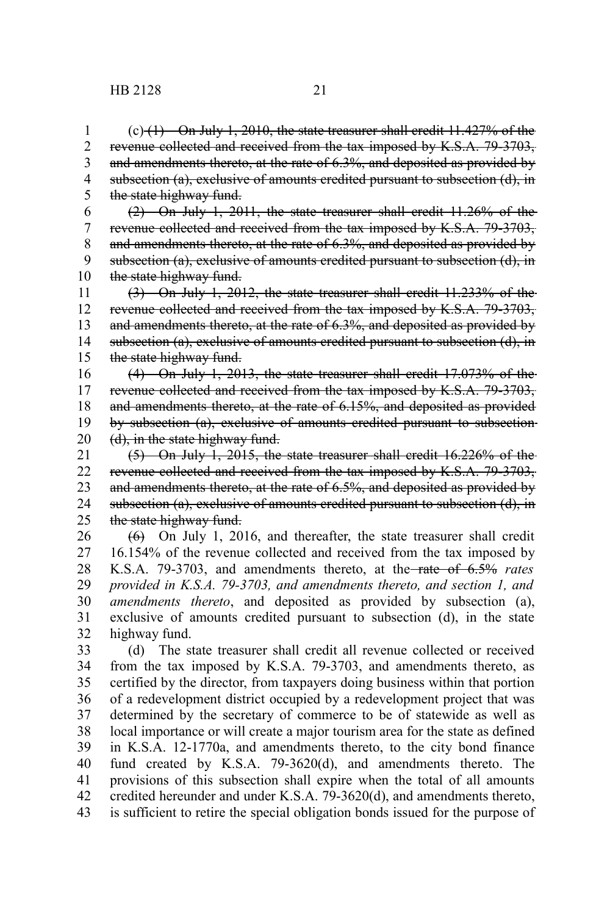$(c)$  (1) On July 1, 2010, the state treasurer shall credit 11.427% of the revenue collected and received from the tax imposed by K.S.A. 79-3703, and amendments thereto, at the rate of 6.3%, and deposited as provided by subsection (a), exclusive of amounts credited pursuant to subsection (d), in the state highway fund. 1 2 3 4 5

(2) On July 1, 2011, the state treasurer shall credit 11.26% of the revenue collected and received from the tax imposed by K.S.A. 79-3703, and amendments thereto, at the rate of 6.3%, and deposited as provided by subsection (a), exclusive of amounts credited pursuant to subsection (d), in the state highway fund. 6 7 8 9 10

(3) On July 1, 2012, the state treasurer shall credit 11.233% of the revenue collected and received from the tax imposed by K.S.A. 79-3703, and amendments thereto, at the rate of 6.3%, and deposited as provided by subsection (a), exclusive of amounts credited pursuant to subsection (d), in the state highway fund. 11 12 13 14 15

(4) On July 1, 2013, the state treasurer shall credit 17.073% of the revenue collected and received from the tax imposed by K.S.A. 79-3703, and amendments thereto, at the rate of 6.15%, and deposited as provided by subsection (a), exclusive of amounts credited pursuant to subsection (d), in the state highway fund. 16 17 18 19 20

(5) On July 1, 2015, the state treasurer shall credit 16.226% of the revenue collected and received from the tax imposed by K.S.A. 79-3703, and amendments thereto, at the rate of 6.5%, and deposited as provided by subsection (a), exclusive of amounts credited pursuant to subsection (d), in the state highway fund. 21 22 23 24 25

 $(6)$  On July 1, 2016, and thereafter, the state treasurer shall credit 16.154% of the revenue collected and received from the tax imposed by K.S.A. 79-3703, and amendments thereto, at the rate of 6.5% *rates provided in K.S.A. 79-3703, and amendments thereto, and section 1, and amendments thereto*, and deposited as provided by subsection (a), exclusive of amounts credited pursuant to subsection (d), in the state highway fund. 26 27 28 29 30 31 32

(d) The state treasurer shall credit all revenue collected or received from the tax imposed by K.S.A. 79-3703, and amendments thereto, as certified by the director, from taxpayers doing business within that portion of a redevelopment district occupied by a redevelopment project that was determined by the secretary of commerce to be of statewide as well as local importance or will create a major tourism area for the state as defined in K.S.A. 12-1770a, and amendments thereto, to the city bond finance fund created by K.S.A. 79-3620(d), and amendments thereto. The provisions of this subsection shall expire when the total of all amounts credited hereunder and under K.S.A. 79-3620(d), and amendments thereto, is sufficient to retire the special obligation bonds issued for the purpose of 33 34 35 36 37 38 39 40 41 42 43